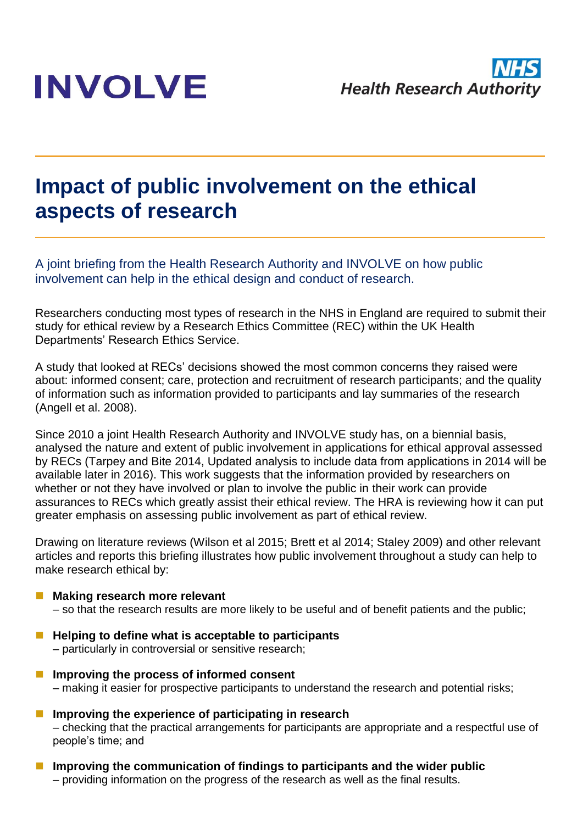# **INVOLVE**

## **Impact of public involvement on the ethical aspects of research**

A joint briefing from the Health Research Authority and INVOLVE on how public involvement can help in the ethical design and conduct of research.

Researchers conducting most types of research in the NHS in England are required to submit their study for ethical review by a Research Ethics Committee (REC) within the UK Health Departments' Research Ethics Service.

A study that looked at RECs' decisions showed the most common concerns they raised were about: informed consent; care, protection and recruitment of research participants; and the quality of information such as information provided to participants and lay summaries of the research (Angell et al. 2008).

Since 2010 a joint Health Research Authority and INVOLVE study has, on a biennial basis, analysed the nature and extent of public involvement in applications for ethical approval assessed by RECs (Tarpey and Bite 2014, Updated analysis to include data from applications in 2014 will be available later in 2016). This work suggests that the information provided by researchers on whether or not they have involved or plan to involve the public in their work can provide assurances to RECs which greatly assist their ethical review. The HRA is reviewing how it can put greater emphasis on assessing public involvement as part of ethical review.

Drawing on literature reviews (Wilson et al 2015; Brett et al 2014; Staley 2009) and other relevant articles and reports this briefing illustrates how public involvement throughout a study can help to make research ethical by:

#### **Making research more relevant**

– so that the research results are more likely to be useful and of benefit patients and the public;

- Helping to define what is acceptable to participants – particularly in controversial or sensitive research;
- **Improving the process of informed consent** – making it easier for prospective participants to understand the research and potential risks;
- **Improving the experience of participating in research** – checking that the practical arrangements for participants are appropriate and a respectful use of people's time; and
- **Improving the communication of findings to participants and the wider public** – providing information on the progress of the research as well as the final results.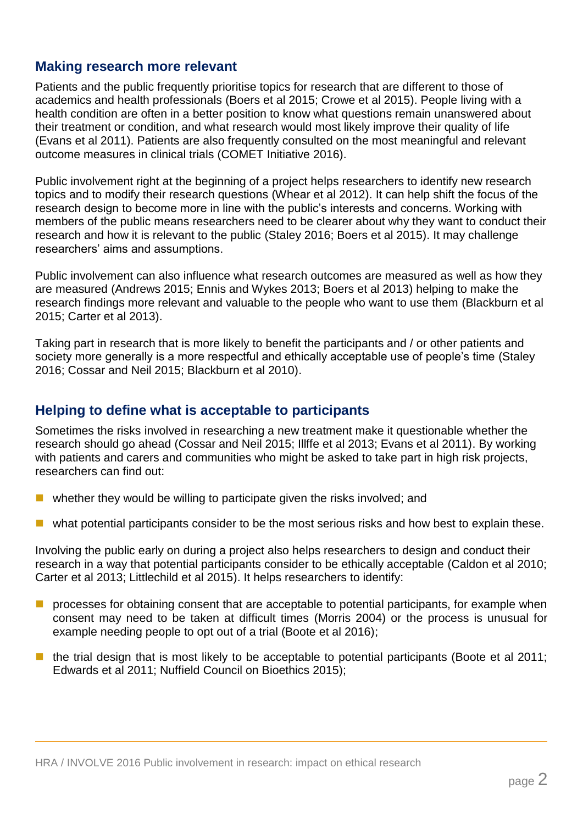### **Making research more relevant**

Patients and the public frequently prioritise topics for research that are different to those of academics and health professionals (Boers et al 2015; Crowe et al 2015). People living with a health condition are often in a better position to know what questions remain unanswered about their treatment or condition, and what research would most likely improve their quality of life (Evans et al 2011). Patients are also frequently consulted on the most meaningful and relevant outcome measures in clinical trials (COMET Initiative 2016).

Public involvement right at the beginning of a project helps researchers to identify new research topics and to modify their research questions (Whear et al 2012). It can help shift the focus of the research design to become more in line with the public's interests and concerns. Working with members of the public means researchers need to be clearer about why they want to conduct their research and how it is relevant to the public (Staley 2016; Boers et al 2015). It may challenge researchers' aims and assumptions.

Public involvement can also influence what research outcomes are measured as well as how they are measured (Andrews 2015; Ennis and Wykes 2013; Boers et al 2013) helping to make the research findings more relevant and valuable to the people who want to use them (Blackburn et al 2015; Carter et al 2013).

Taking part in research that is more likely to benefit the participants and / or other patients and society more generally is a more respectful and ethically acceptable use of people's time (Staley 2016; Cossar and Neil 2015; Blackburn et al 2010).

### **Helping to define what is acceptable to participants**

Sometimes the risks involved in researching a new treatment make it questionable whether the research should go ahead (Cossar and Neil 2015; Illffe et al 2013; Evans et al 2011). By working with patients and carers and communities who might be asked to take part in high risk projects, researchers can find out:

- $\blacksquare$  whether they would be willing to participate given the risks involved; and
- what potential participants consider to be the most serious risks and how best to explain these.

Involving the public early on during a project also helps researchers to design and conduct their research in a way that potential participants consider to be ethically acceptable (Caldon et al 2010; Carter et al 2013; Littlechild et al 2015). It helps researchers to identify:

- $\blacksquare$  processes for obtaining consent that are acceptable to potential participants, for example when consent may need to be taken at difficult times (Morris 2004) or the process is unusual for example needing people to opt out of a trial (Boote et al 2016);
- $\blacksquare$  the trial design that is most likely to be acceptable to potential participants (Boote et al 2011; Edwards et al 2011; Nuffield Council on Bioethics 2015);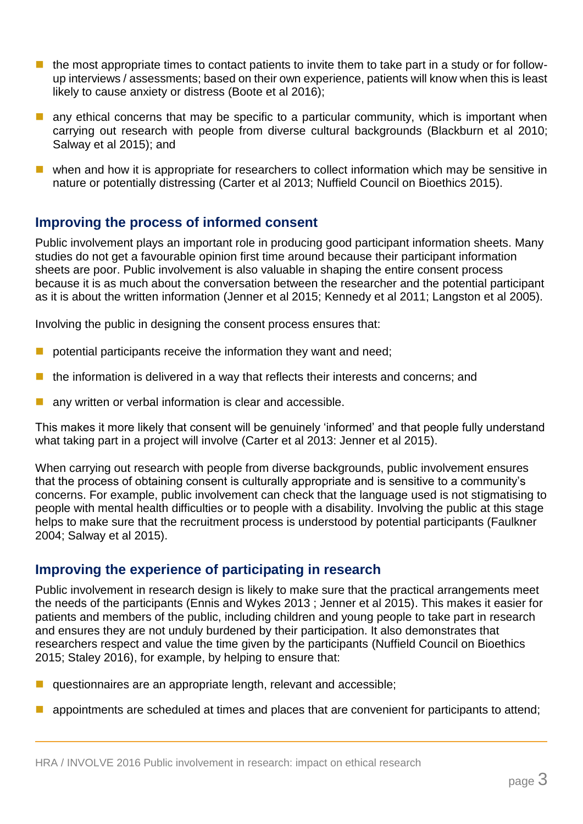- **the most appropriate times to contact patients to invite them to take part in a study or for follow**up interviews / assessments; based on their own experience, patients will know when this is least likely to cause anxiety or distress (Boote et al 2016);
- **a** any ethical concerns that may be specific to a particular community, which is important when carrying out research with people from diverse cultural backgrounds (Blackburn et al 2010; Salway et al 2015); and
- **u** when and how it is appropriate for researchers to collect information which may be sensitive in nature or potentially distressing (Carter et al 2013; Nuffield Council on Bioethics 2015).

### **Improving the process of informed consent**

Public involvement plays an important role in producing good participant information sheets. Many studies do not get a favourable opinion first time around because their participant information sheets are poor. Public involvement is also valuable in shaping the entire consent process because it is as much about the conversation between the researcher and the potential participant as it is about the written information (Jenner et al 2015; Kennedy et al 2011; Langston et al 2005).

Involving the public in designing the consent process ensures that:

- $\blacksquare$  potential participants receive the information they want and need;
- the information is delivered in a way that reflects their interests and concerns; and
- any written or verbal information is clear and accessible.

This makes it more likely that consent will be genuinely 'informed' and that people fully understand what taking part in a project will involve (Carter et al 2013: Jenner et al 2015).

When carrying out research with people from diverse backgrounds, public involvement ensures that the process of obtaining consent is culturally appropriate and is sensitive to a community's concerns. For example, public involvement can check that the language used is not stigmatising to people with mental health difficulties or to people with a disability. Involving the public at this stage helps to make sure that the recruitment process is understood by potential participants (Faulkner 2004; Salway et al 2015).

### **Improving the experience of participating in research**

Public involvement in research design is likely to make sure that the practical arrangements meet the needs of the participants (Ennis and Wykes 2013 ; Jenner et al 2015). This makes it easier for patients and members of the public, including children and young people to take part in research and ensures they are not unduly burdened by their participation. It also demonstrates that researchers respect and value the time given by the participants (Nuffield Council on Bioethics 2015; Staley 2016), for example, by helping to ensure that:

- questionnaires are an appropriate length, relevant and accessible;
- appointments are scheduled at times and places that are convenient for participants to attend;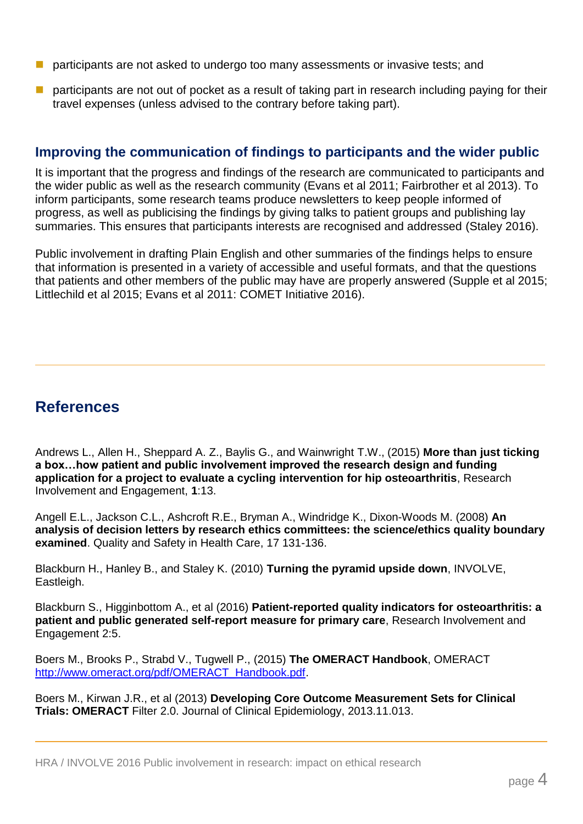- participants are not asked to undergo too many assessments or invasive tests; and
- **Participants are not out of pocket as a result of taking part in research including paying for their** travel expenses (unless advised to the contrary before taking part).

### **Improving the communication of findings to participants and the wider public**

It is important that the progress and findings of the research are communicated to participants and the wider public as well as the research community (Evans et al 2011; Fairbrother et al 2013). To inform participants, some research teams produce newsletters to keep people informed of progress, as well as publicising the findings by giving talks to patient groups and publishing lay summaries. This ensures that participants interests are recognised and addressed (Staley 2016).

Public involvement in drafting Plain English and other summaries of the findings helps to ensure that information is presented in a variety of accessible and useful formats, and that the questions that patients and other members of the public may have are properly answered (Supple et al 2015; Littlechild et al 2015; Evans et al 2011: COMET Initiative 2016).

### **References**

Andrews L., Allen H., Sheppard A. Z., Baylis G., and Wainwright T.W., (2015) **More than just ticking a box…how patient and public involvement improved the research design and funding application for a project to evaluate a cycling intervention for hip osteoarthritis**, Research Involvement and Engagement, **1**:13.

Angell E.L., Jackson C.L., Ashcroft R.E., Bryman A., Windridge K., Dixon-Woods M. (2008) **An analysis of decision letters by research ethics committees: the science/ethics quality boundary examined**. Quality and Safety in Health Care, 17 131-136.

Blackburn H., Hanley B., and Staley K. (2010) **Turning the pyramid upside down**, INVOLVE, Eastleigh.

Blackburn S., Higginbottom A., et al (2016) **Patient-reported quality indicators for osteoarthritis: a patient and public generated self-report measure for primary care**, Research Involvement and Engagement 2:5.

Boers M., Brooks P., Strabd V., Tugwell P., (2015) **The OMERACT Handbook**, OMERACT [http://www.omeract.org/pdf/OMERACT\\_Handbook.pdf.](http://www.omeract.org/pdf/OMERACT_Handbook.pdf)

Boers M., Kirwan J.R., et al (2013) **Developing Core Outcome Measurement Sets for Clinical Trials: OMERACT** Filter 2.0. Journal of Clinical Epidemiology, 2013.11.013.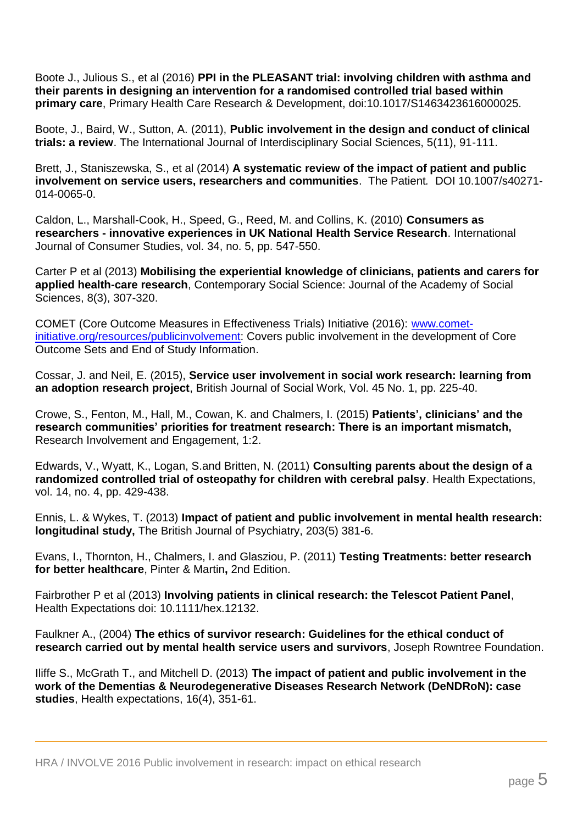Boote J., Julious S., et al (2016) **PPI in the PLEASANT trial: involving children with asthma and their parents in designing an intervention for a randomised controlled trial based within primary care**, Primary Health Care Research & Development, doi:10.1017/S1463423616000025.

Boote, J., Baird, W., Sutton, A. (2011), **Public involvement in the design and conduct of clinical trials: a review**. The International Journal of Interdisciplinary Social Sciences, 5(11), 91-111.

Brett, J., Staniszewska, S., et al (2014) **A systematic review of the impact of patient and public involvement on service users, researchers and communities**. The Patient*.* DOI 10.1007/s40271- 014-0065-0.

Caldon, L., Marshall-Cook, H., Speed, G., Reed, M. and Collins, K. (2010) **Consumers as researchers - innovative experiences in UK National Health Service Research**. International Journal of Consumer Studies, vol. 34, no. 5, pp. 547-550.

Carter P et al (2013) **Mobilising the experiential knowledge of clinicians, patients and carers for applied health-care research**, Contemporary Social Science: Journal of the Academy of Social Sciences, 8(3), 307-320.

COMET (Core Outcome Measures in Effectiveness Trials) Initiative (2016): [www.comet](http://www.comet-initiative.org/resources/publicinvolvement)[initiative.org/resources/publicinvolvement:](http://www.comet-initiative.org/resources/publicinvolvement) Covers public involvement in the development of Core Outcome Sets and End of Study Information.

Cossar, J. and Neil, E. (2015), **Service user involvement in social work research: learning from an adoption research project**, British Journal of Social Work, Vol. 45 No. 1, pp. 225-40.

Crowe, S., Fenton, M., Hall, M., Cowan, K. and Chalmers, I. (2015) **Patients', clinicians' and the research communities' priorities for treatment research: There is an important mismatch,**  Research Involvement and Engagement, 1:2.

Edwards, V., Wyatt, K., Logan, S.and Britten, N. (2011) **Consulting parents about the design of a randomized controlled trial of osteopathy for children with cerebral palsy**. Health Expectations, vol. 14, no. 4, pp. 429-438.

Ennis, L. & Wykes, T. (2013) **Impact of patient and public involvement in mental health research: longitudinal study,** The British Journal of Psychiatry, 203(5) 381-6.

Evans, I., Thornton, H., Chalmers, I. and Glasziou, P. (2011) **Testing Treatments: better research for better healthcare**, Pinter & Martin**,** 2nd Edition.

Fairbrother P et al (2013) **Involving patients in clinical research: the Telescot Patient Panel**, Health Expectations doi: 10.1111/hex.12132.

Faulkner A., (2004) **The ethics of survivor research: Guidelines for the ethical conduct of research carried out by mental health service users and survivors**, Joseph Rowntree Foundation.

Iliffe S., McGrath T., and Mitchell D. (2013) **The impact of patient and public involvement in the work of the Dementias & Neurodegenerative Diseases Research Network (DeNDRoN): case studies**, Health expectations, 16(4), 351-61.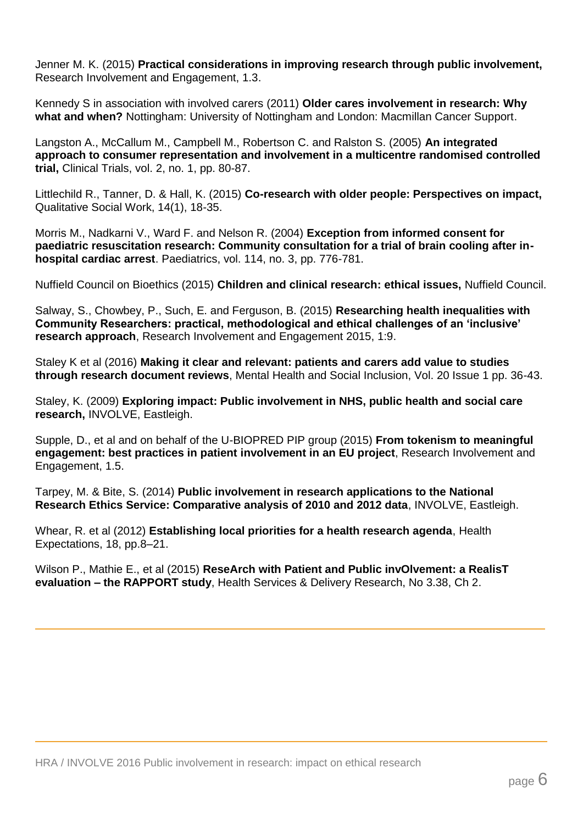Jenner M. K. (2015) **Practical considerations in improving research through public involvement,** Research Involvement and Engagement, 1.3.

Kennedy S in association with involved carers (2011) **Older cares involvement in research: Why what and when?** Nottingham: University of Nottingham and London: Macmillan Cancer Support.

Langston A., McCallum M., Campbell M., Robertson C. and Ralston S. (2005) **An integrated approach to consumer representation and involvement in a multicentre randomised controlled trial,** Clinical Trials, vol. 2, no. 1, pp. 80-87.

Littlechild R., Tanner, D. & Hall, K. (2015) **Co-research with older people: Perspectives on impact,** Qualitative Social Work, 14(1), 18-35.

Morris M., Nadkarni V., Ward F. and Nelson R. (2004) **Exception from informed consent for paediatric resuscitation research: Community consultation for a trial of brain cooling after inhospital cardiac arrest**. Paediatrics, vol. 114, no. 3, pp. 776-781.

Nuffield Council on Bioethics (2015) **Children and clinical research: ethical issues,** Nuffield Council.

Salway, S., Chowbey, P., Such, E. and Ferguson, B. (2015) **Researching health inequalities with Community Researchers: practical, methodological and ethical challenges of an 'inclusive' research approach**, Research Involvement and Engagement 2015, 1:9.

Staley K et al (2016) **Making it clear and relevant: patients and carers add value to studies through research document reviews**, Mental Health and Social Inclusion, Vol. 20 Issue 1 pp. 36-43.

Staley, K. (2009) **Exploring impact: Public involvement in NHS, public health and social care research,** INVOLVE, Eastleigh.

Supple, D., et al and on behalf of the U-BIOPRED PIP group (2015) **From tokenism to meaningful engagement: best practices in patient involvement in an EU project**, Research Involvement and Engagement, 1.5.

Tarpey, M. & Bite, S. (2014) **Public involvement in research applications to the National Research Ethics Service: Comparative analysis of 2010 and 2012 data**, INVOLVE, Eastleigh.

Whear, R. et al (2012) **Establishing local priorities for a health research agenda**, Health Expectations, 18, pp.8–21.

Wilson P., Mathie E., et al (2015) **ReseArch with Patient and Public invOlvement: a RealisT evaluation – the RAPPORT study**, Health Services & Delivery Research, No 3.38, Ch 2.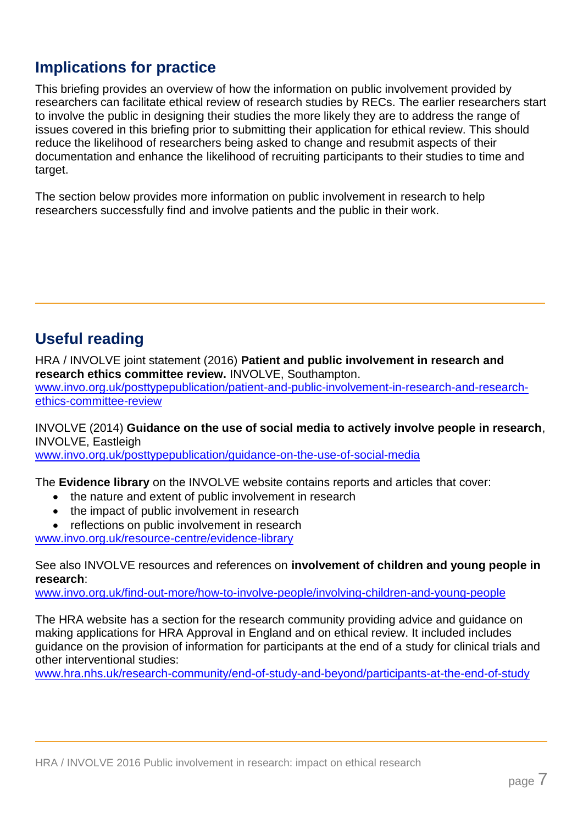### **Implications for practice**

This briefing provides an overview of how the information on public involvement provided by researchers can facilitate ethical review of research studies by RECs. The earlier researchers start to involve the public in designing their studies the more likely they are to address the range of issues covered in this briefing prior to submitting their application for ethical review. This should reduce the likelihood of researchers being asked to change and resubmit aspects of their documentation and enhance the likelihood of recruiting participants to their studies to time and target.

The section below provides more information on public involvement in research to help researchers successfully find and involve patients and the public in their work.

### **Useful reading**

HRA / INVOLVE joint statement (2016) **Patient and public involvement in research and research ethics committee review.** INVOLVE, Southampton. [www.invo.org.uk/posttypepublication/patient-and-public-involvement-in-research-and-research](http://www.invo.org.uk/posttypepublication/patient-and-public-involvement-in-research-and-research-ethics-committee-review/)[ethics-committee-review](http://www.invo.org.uk/posttypepublication/patient-and-public-involvement-in-research-and-research-ethics-committee-review/)

INVOLVE (2014) **Guidance on the use of social media to actively involve people in research**, INVOLVE, Eastleigh

[www.invo.org.uk/posttypepublication/guidance-on-the-use-of-social-media](http://www.invo.org.uk/posttypepublication/guidance-on-the-use-of-social-media/)

The **Evidence library** on the INVOLVE website contains reports and articles that cover:

- the nature and extent of public involvement in research
- the impact of public involvement in research
- reflections on public involvement in research

[www.invo.org.uk/resource-centre/evidence-library](http://www.invo.org.uk/resource-centre/evidence-library)

See also INVOLVE resources and references on **involvement of children and young people in research**:

[www.invo.org.uk/find-out-more/how-to-involve-people/involving-children-and-young-people](http://www.invo.org.uk/find-out-more/how-to-involve-people/involving-children-and-young-people/)

The HRA website has a section for the research community providing advice and guidance on making applications for HRA Approval in England and on ethical review. It included includes guidance on the provision of information for participants at the end of a study for clinical trials and other interventional studies:

[www.hra.nhs.uk/research-community/end-of-study-and-beyond/participants-at-the-end-of-study](http://www.hra.nhs.uk/research-community/end-of-study-and-beyond/participants-at-the-end-of-study/)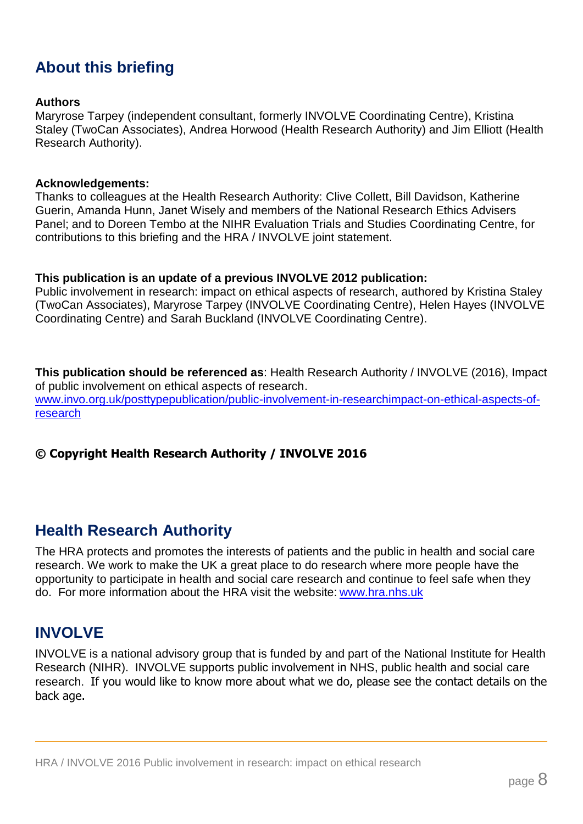### **About this briefing**

#### **Authors**

Maryrose Tarpey (independent consultant, formerly INVOLVE Coordinating Centre), Kristina Staley (TwoCan Associates), Andrea Horwood (Health Research Authority) and Jim Elliott (Health Research Authority).

#### **Acknowledgements:**

Thanks to colleagues at the Health Research Authority: Clive Collett, Bill Davidson, Katherine Guerin, Amanda Hunn, Janet Wisely and members of the National Research Ethics Advisers Panel; and to Doreen Tembo at the NIHR Evaluation Trials and Studies Coordinating Centre, for contributions to this briefing and the HRA / INVOLVE joint statement.

#### **This publication is an update of a previous INVOLVE 2012 publication:**

Public involvement in research: impact on ethical aspects of research, authored by Kristina Staley (TwoCan Associates), Maryrose Tarpey (INVOLVE Coordinating Centre), Helen Hayes (INVOLVE Coordinating Centre) and Sarah Buckland (INVOLVE Coordinating Centre).

**This publication should be referenced as**: Health Research Authority / INVOLVE (2016), Impact of public involvement on ethical aspects of research. [www.invo.org.uk/posttypepublication/public-involvement-in-researchimpact-on-ethical-aspects-of](http://www.invo.org.uk/posttypepublication/public-involvement-in-researchimpact-on-ethical-aspects-of-research)[research](http://www.invo.org.uk/posttypepublication/public-involvement-in-researchimpact-on-ethical-aspects-of-research)

#### **© Copyright Health Research Authority / INVOLVE 2016**

### **Health Research Authority**

The HRA protects and promotes the interests of patients and the public in health and social care research. We work to make the UK a great place to do research where more people have the opportunity to participate in health and social care research and continue to feel safe when they do. For more information about the HRA visit the website: [www.hra.nhs.uk](http://www.hra.nhs.uk/)

### **INVOLVE**

INVOLVE is a national advisory group that is funded by and part of the National Institute for Health Research (NIHR). INVOLVE supports public involvement in NHS, public health and social care research. If you would like to know more about what we do, please see the contact details on the back age.